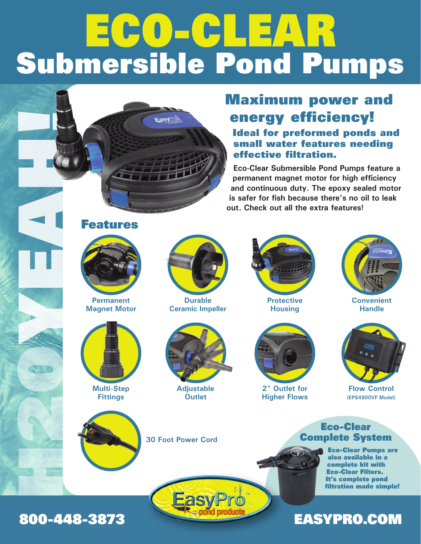# ECO-CLEAR Submersible Pond Pumps



**Eco-Clear Submersible Pond Pumps feature a permanent magnet motor for high efficiency and continuous duty. The epoxy sealed motor is safer for fish because there's no oil to leak out. Check out all the extra features!**





**Permanent Magnet Motor**



**Multi-Step Fittings**



**Durable Ceramic Impeller**



**Adjustable Outlet**



**Protective Housing**



**2" Outlet for Higher Flows**



**Convenient Handle**



**Flow Control (EPS4900VF Model)**





EasyPro

Complete System Eco-Clear Pumps are also available in a complete kit with

Eco-Clear

Eco-Clear Filters. It's complete pond filtration made simple!

### 800-448-3873 EASYPRO.COM

H2OYEAH H2OYEAH

NEW YORK

**1999**